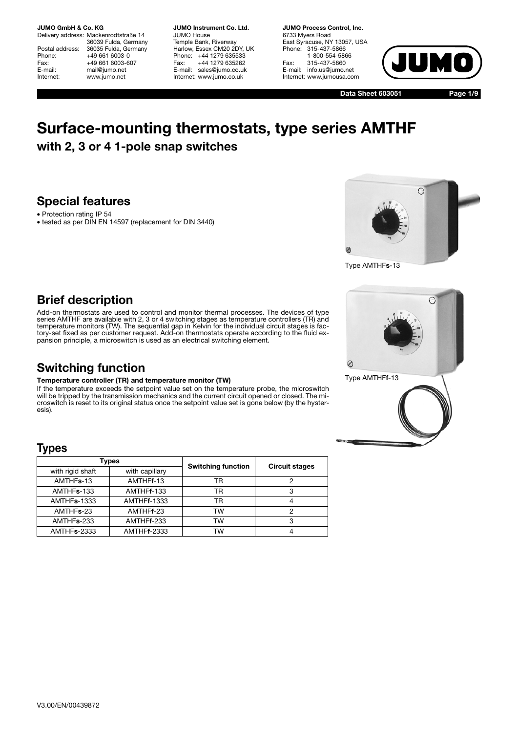Delivery address: Mackenrodtstraße 14 36039 Fulda, Germany Postal address: 36035 Fulda, Germany<br>Phone: +49 661 6003-0 Phone: +49 661 6003-0<br>Fax: +49 661 6003-6 Fax: +49 661 6003-607<br>E-mail: mail@iumo.net mail@jumo.net Internet: www.jumo.net

**JUMO Instrument Co. Ltd.** JUMO House Temple Bank, Riverway Harlow, Essex CM20 2DY, UK Phone: +44 1279 635533 Fax: +44 1279 635262 E-mail: sales@jumo.co.uk Internet: www.jumo.co.uk

**JUMO Process Control, Inc.** 6733 Myers Road East Syracuse, NY 13057, USA Phone: 315-437-5866 1-800-554-5866 Fax: 315-437-5860 E-mail: info.us@jumo.net Internet: www.jumousa.com



**Data Sheet 603051**

**Page 1/9**

# **Surface-mounting thermostats, type series AMTHF with 2, 3 or 4 1-pole snap switches**

## **Special features**

- Protection rating IP 54
- tested as per DIN EN 14597 (replacement for DIN 3440)



Type AMTHF**s**-13

## **Brief description**

Add-on thermostats are used to control and monitor thermal processes. The devices of type series AMTHF are available with 2, 3 or 4 switching stages as temperature controllers (TR) and temperature monitors (TW). The sequential gap in Kelvin for the individual circuit stages is factory-set fixed as per customer request. Add-on thermostats operate according to the fluid ex-pansion principle, a microswitch is used as an electrical switching element.

## **Switching function**

### **Temperature controller (TR) and temperature monitor (TW)**

If the temperature exceeds the setpoint value set on the temperature probe, the microswitch will be tripped by the transmission mechanics and the current circuit opened or closed. The microswitch is reset to its original status once the setpoint value set is gone below (by the hysteresis).

## **Types**

|                         | Types              | <b>Switching function</b> | <b>Circuit stages</b> |  |
|-------------------------|--------------------|---------------------------|-----------------------|--|
| with rigid shaft        | with capillary     |                           |                       |  |
| AMTHFs-13               | AMTHFf-13          | TR                        | っ                     |  |
| AMTHF <sub>s</sub> -133 | AMTHFf-133         | TR                        | 3                     |  |
| <b>AMTHFs-1333</b>      | <b>AMTHFf-1333</b> | TR                        |                       |  |
| AMTHFs-23               | AMTHFf-23          | <b>TW</b>                 | っ                     |  |
| AMTHFs-233              | AMTHFf-233         | TW                        | З                     |  |
| AMTHFs-2333             | <b>AMTHFf-2333</b> | TW                        |                       |  |

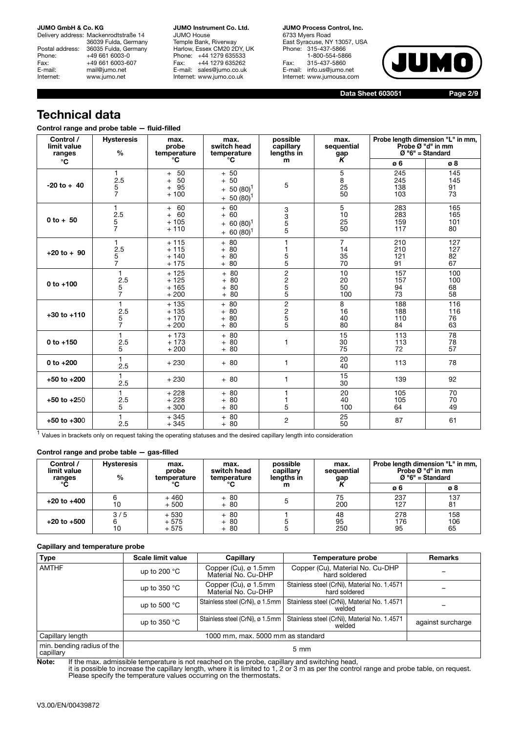Delivery address: Mackenrodtstraße 14 36039 Fulda, Germany Postal address: 36035 Fulda, Germany<br>Phone: +49 661 6003-0 Phone: +49 661 6003-0<br>Fax: +49 661 6003-6 Fax: +49 661 6003-607<br>E-mail: mail@jumo.net mail@jumo.net Internet: www.jumo.net

**JUMO Instrument Co. Ltd.** JUMO House Temple Bank, Riverway Harlow, Essex CM20 2DY, UK Phone: +44 1279 635533<br>Fax: +44 1279 635262 +44 1279 635262 E-mail: sales@jumo.co.uk Internet: www.jumo.co.uk

**JUMO Process Control, Inc.** 6733 Myers Road East Syracuse, NY 13057, USA Phone: 315-437-5866 1-800-554-5866 Fax: 315-437-5860 E-mail: info.us@jumo.net Internet: www.jumousa.com



**Data Sheet 603051**

**Page 2/9**

## **Technical data**

| Control range and probe table - fluid-filled |  |  |  |  |
|----------------------------------------------|--|--|--|--|
|----------------------------------------------|--|--|--|--|

| Control /<br>limit value<br>ranges | <b>Hysteresis</b><br>$\%$        | max.<br>probe<br>temperature                  | max.<br>switch head<br>temperature                                     | possible<br>capillary<br>lengths in                            | max.<br>sequential<br>gap        |                          | Probe length dimension "L" in mm,<br>Probe Ø "d" in mm<br>$Ø$ "6" = Standard |
|------------------------------------|----------------------------------|-----------------------------------------------|------------------------------------------------------------------------|----------------------------------------------------------------|----------------------------------|--------------------------|------------------------------------------------------------------------------|
| $^{\circ}$ C                       |                                  | °C                                            | °C                                                                     | m                                                              | K                                | ø6                       | ø8                                                                           |
| $-20$ to $+40$                     | 1.<br>2.5<br>5<br>$\overline{7}$ | 50<br>$+$<br>50<br>$+$<br>95<br>$+$<br>$+100$ | $+50$<br>50<br>$\ddot{}$<br>$50(80)^1$<br>$+$<br>$50(80)^1$<br>$+$     | 5                                                              | 5<br>8<br>25<br>50               | 245<br>245<br>138<br>103 | 145<br>145<br>91<br>73                                                       |
| $0 to + 50$                        | 1<br>2.5<br>5<br>$\overline{7}$  | $+ 60$<br>$+ 60$<br>$+105$<br>$+110$          | 60<br>$+$<br>60<br>$+$<br>$60(80)^1$<br>$\ddot{}$<br>$60(80)^1$<br>$+$ | 3<br>3<br>5<br>5                                               | 5<br>10<br>25<br>50              | 283<br>283<br>159<br>117 | 165<br>165<br>101<br>80                                                      |
| $+20$ to $+90$                     | 1<br>2.5<br>$\frac{5}{7}$        | $+115$<br>$+115$<br>$+140$<br>$+175$          | $+80$<br>80<br>$+$<br>80<br>$+$<br>$+80$                               | 1<br>$\frac{5}{5}$                                             | $\overline{7}$<br>14<br>35<br>70 | 210<br>210<br>121<br>91  | 127<br>127<br>82<br>67                                                       |
| $0 to +100$                        | 1<br>2.5<br>$\frac{5}{7}$        | $+125$<br>$+125$<br>$+165$<br>$+200$          | $+80$<br>80<br>$+$<br>80<br>$+$<br>$+80$                               | 2<br>2<br>5<br>5<br>5                                          | 10<br>20<br>50<br>100            | 157<br>157<br>94<br>73   | 100<br>100<br>68<br>58                                                       |
| $+30$ to $+110$                    | 1<br>2.5<br>$\frac{5}{7}$        | $+135$<br>$+135$<br>$+170$<br>$+200$          | $+ 80$<br>80<br>$+$<br>80<br>$+$<br>80<br>$+$                          | $\overline{c}$<br>$\begin{array}{c}\n2 \\ 5 \\ 5\n\end{array}$ | 8<br>16<br>40<br>80              | 188<br>188<br>110<br>84  | 116<br>116<br>76<br>63                                                       |
| $0 to +150$                        | $\mathbf{1}$<br>2.5<br>5         | $+173$<br>$+173$<br>$+200$                    | $+80$<br>80<br>$+$<br>$+80$                                            | 1                                                              | 15<br>30<br>75                   | 113<br>113<br>72         | 78<br>78<br>57                                                               |
| 0 to +200                          | 1<br>2.5                         | $+230$                                        | $+80$                                                                  | 1                                                              | 20<br>40                         | 113                      | 78                                                                           |
| $+50$ to $+200$                    | 1<br>2.5                         | $+230$                                        | $+80$                                                                  | $\mathbf{1}$                                                   | 15<br>30                         | 139                      | 92                                                                           |
| $+50$ to $+250$                    | 1<br>2.5<br>5                    | $+228$<br>$+228$<br>$+300$                    | $+80$<br>$+80$<br>$+80$                                                | 1<br>1<br>5                                                    | 20<br>40<br>100                  | 105<br>105<br>64         | 70<br>70<br>49                                                               |
| $+50$ to $+300$                    | 1<br>2.5                         | $+345$<br>$+345$                              | $+80$<br>$+80$                                                         | $\overline{2}$                                                 | 25<br>50                         | 87                       | 61                                                                           |

 $<sup>1</sup>$  Values in brackets only on request taking the operating statuses and the desired capillary length into consideration</sup>

### **Control range and probe table — gas-filled**

| Control /<br>limit value<br>ranges | <b>Hysteresis</b><br>% | max.<br>probe<br>temperature | max.<br>switch head<br>temperature | possible<br>capillary<br>lengths in | max.<br>sequential<br>gap |                  | Probe length dimension "L" in mm,<br>Probe Ø "d" in mm<br>$Ø$ "6" = Standard |
|------------------------------------|------------------------|------------------------------|------------------------------------|-------------------------------------|---------------------------|------------------|------------------------------------------------------------------------------|
| °C                                 |                        | °C                           | °C                                 | m                                   |                           | ø6               | ø8                                                                           |
| $+20$ to $+400$                    | 10                     | $+460$<br>$+500$             | $+80$<br>$+80$                     |                                     | 75<br>200                 | 237<br>127       | 137<br>81                                                                    |
| $+20$ to $+500$                    | 3/5                    | $+530$<br>$+575$<br>$+575$   | $+80$<br>$+80$<br>$+80$            |                                     | 48<br>95<br>250           | 278<br>176<br>95 | 158<br>106<br>65                                                             |

### **Capillary and temperature probe**

| <b>Type</b>                             | <b>Scale limit value</b>                                                                                          | Capillary                                   | Temperature probe                                            | <b>Remarks</b>    |  |
|-----------------------------------------|-------------------------------------------------------------------------------------------------------------------|---------------------------------------------|--------------------------------------------------------------|-------------------|--|
| <b>AMTHF</b>                            | up to 200 $^{\circ}$ C                                                                                            | Copper (Cu), ø 1.5mm<br>Material No. Cu-DHP | Copper (Cu), Material No. Cu-DHP<br>hard soldered            |                   |  |
|                                         | up to $350 °C$                                                                                                    | Copper (Cu), ø 1.5mm<br>Material No. Cu-DHP | Stainless steel (CrNi), Material No. 1.4571<br>hard soldered |                   |  |
|                                         | Stainless steel (CrNi), ø 1.5mm<br>Stainless steel (CrNi), Material No. 1.4571<br>up to 500 $\degree$ C<br>welded |                                             |                                                              |                   |  |
|                                         | up to $350 °C$                                                                                                    | Stainless steel (CrNi), ø 1.5mm             | Stainless steel (CrNi), Material No. 1.4571<br>welded        | against surcharge |  |
| Capillary length                        | 1000 mm, max. 5000 mm as standard                                                                                 |                                             |                                                              |                   |  |
| min. bending radius of the<br>capillary | $5 \text{ mm}$                                                                                                    |                                             |                                                              |                   |  |

Note: If the max. admissible temperature is not reached on the probe, capillary and switching head,<br>it is possible to increase the capillary length, where it is limited to 1, 2 or 3 m as per the control range and probe tab Please specify the temperature values occurring on the thermostats.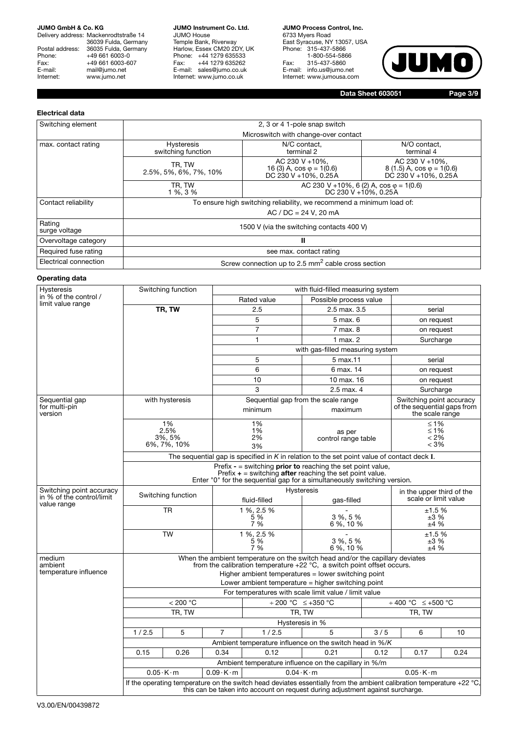Delivery address: Mackenrodtstraße 14 36039 Fulda, Germany Postal address: 36035 Fulda, Germany Phone: +49 661 6003-0<br>Fax: +49 661 6003-60 Fax: +49 661 6003-607<br>E-mail: mail@jumo.net E-mail: mail@jumo.net<br>Internet: www.jumo.net www.jumo.net

**JUMO Instrument Co. Ltd.** JUMO House Temple Bank, Riverway Harlow, Essex CM20 2DY, UK Phone: +44 1279 635533 Fax: +44 1279 635262 E-mail: sales@jumo.co.uk Internet: www.jumo.co.uk

**JUMO Process Control, Inc.** 6733 Myers Road East Syracuse, NY 13057, USA Phone: 315-437-5866 1-800-554-5866 Fax: 315-437-5860 E-mail: info.us@jumo.net Internet: www.jumousa.com



**Data Sheet 603051**

**Page 3/9**

### **Electrical data**

| Switching element       | 2, 3 or 4 1-pole snap switch              |                                                                             |                                                                              |  |  |  |
|-------------------------|-------------------------------------------|-----------------------------------------------------------------------------|------------------------------------------------------------------------------|--|--|--|
|                         |                                           | Microswitch with change-over contact                                        |                                                                              |  |  |  |
| max. contact rating     | <b>Hysteresis</b><br>switching function   | N/C contact.<br>terminal 2                                                  | N/O contact.<br>terminal 4                                                   |  |  |  |
|                         | TR, TW<br>2.5%, 5%, 6%, 7%, 10%           | AC 230 V +10%,<br>16 (3) A, $\cos \varphi = 1(0.6)$<br>DC 230 V +10%, 0.25A | AC 230 V +10%.<br>$(1.5)$ A, cos $\varphi = 1(0.6)$<br>DC 230 V +10%, 0.25A  |  |  |  |
|                         | TR, TW<br>1 %, 3 %                        |                                                                             | AC 230 V +10%, 6 (2) A, $cos \varphi = 1(0.6)$<br>DC 230 V + $10\%$ , 0.25 A |  |  |  |
| Contact reliability     |                                           | To ensure high switching reliability, we recommend a minimum load of:       |                                                                              |  |  |  |
|                         |                                           | $AC / DC = 24 V, 20 mA$                                                     |                                                                              |  |  |  |
| Rating<br>surge voltage | 1500 V (via the switching contacts 400 V) |                                                                             |                                                                              |  |  |  |
| Overvoltage category    | Ш                                         |                                                                             |                                                                              |  |  |  |
| Required fuse rating    | see max. contact rating                   |                                                                             |                                                                              |  |  |  |
| Electrical connection   |                                           | Screw connection up to 2.5 mm <sup>2</sup> cable cross section              |                                                                              |  |  |  |

### **Operating data**

| Hysteresis                                 | Switching function                                                                                                                                                                                                                                                       |                 |                        | with fluid-filled measuring system                      |                                  |      |                                                                            |      |
|--------------------------------------------|--------------------------------------------------------------------------------------------------------------------------------------------------------------------------------------------------------------------------------------------------------------------------|-----------------|------------------------|---------------------------------------------------------|----------------------------------|------|----------------------------------------------------------------------------|------|
| in % of the control /<br>limit value range |                                                                                                                                                                                                                                                                          |                 |                        | Rated value                                             | Possible process value           |      |                                                                            |      |
|                                            |                                                                                                                                                                                                                                                                          | TR, TW          |                        | 2.5                                                     | 2.5 max, 3.5                     |      | serial                                                                     |      |
|                                            |                                                                                                                                                                                                                                                                          |                 |                        | 5                                                       | 5 max. 6                         |      | on request                                                                 |      |
|                                            |                                                                                                                                                                                                                                                                          |                 |                        | $\overline{7}$                                          | 7 max. 8                         |      | on request                                                                 |      |
|                                            |                                                                                                                                                                                                                                                                          |                 |                        | 1                                                       | $1$ max. $2$                     |      | Surcharge                                                                  |      |
|                                            |                                                                                                                                                                                                                                                                          |                 |                        |                                                         | with gas-filled measuring system |      |                                                                            |      |
|                                            |                                                                                                                                                                                                                                                                          |                 |                        | 5                                                       | 5 max.11                         |      | serial                                                                     |      |
|                                            |                                                                                                                                                                                                                                                                          |                 |                        | 6                                                       | 6 max. 14                        |      | on request                                                                 |      |
|                                            |                                                                                                                                                                                                                                                                          |                 |                        | 10                                                      | 10 max. 16                       |      | on request                                                                 |      |
|                                            |                                                                                                                                                                                                                                                                          |                 |                        | 3                                                       | 2.5 max. 4                       |      | Surcharge                                                                  |      |
| Sequential gap<br>for multi-pin<br>version |                                                                                                                                                                                                                                                                          | with hysteresis |                        | Sequential gap from the scale range<br>minimum          | maximum                          |      | Switching point accuracy<br>of the sequential gaps from<br>the scale range |      |
|                                            | 1%<br>2.5%<br>3%, 5%<br>6%, 7%, 10%                                                                                                                                                                                                                                      |                 |                        | 1%<br>1%<br>2%<br>3%                                    | as per<br>control range table    |      | $≤ 1%$<br>$≤ 1%$<br>< 2%<br>< 3%                                           |      |
|                                            | The sequential gap is specified in $K$ in relation to the set point value of contact deck $I$ .                                                                                                                                                                          |                 |                        |                                                         |                                  |      |                                                                            |      |
|                                            | Prefix - $=$ switching <b>prior to</b> reaching the set point value,<br>Prefix $+$ = switching after reaching the set point value.<br>Enter "0" for the sequential gap for a simultaneously switching version.                                                           |                 |                        |                                                         |                                  |      |                                                                            |      |
| Switching point accuracy                   |                                                                                                                                                                                                                                                                          |                 |                        |                                                         | <b>Hysteresis</b>                |      | in the upper third of the                                                  |      |
| in % of the control/limit<br>value range   | Switching function                                                                                                                                                                                                                                                       |                 |                        | fluid-filled                                            |                                  |      | scale or limit value                                                       |      |
|                                            | <b>TR</b>                                                                                                                                                                                                                                                                |                 |                        | 1 %, 2.5 %<br>5 %<br>7 %                                | 3 %, 5 %<br>6%, 10%              |      | ±1.5%<br>±3%<br>±4%                                                        |      |
|                                            | <b>TW</b>                                                                                                                                                                                                                                                                |                 |                        | 1 %, 2.5 %<br>5%<br>3 %, 5 %<br>7%<br>6 %, 10 %         |                                  |      | ±1.5%<br>±3%<br>±4%                                                        |      |
| medium<br>ambient<br>temperature influence | When the ambient temperature on the switch head and/or the capillary deviates<br>from the calibration temperature $+22$ °C, a switch point offset occurs.<br>Higher ambient temperatures = lower switching point<br>Lower ambient temperature $=$ higher switching point |                 |                        |                                                         |                                  |      |                                                                            |      |
|                                            |                                                                                                                                                                                                                                                                          |                 |                        | For temperatures with scale limit value / limit value   |                                  |      |                                                                            |      |
|                                            |                                                                                                                                                                                                                                                                          | < 200 °C        |                        | $\div 200$ °C $\leq +350$ °C                            |                                  |      | $\div$ 400 °C<br>$≤+500 °C$                                                |      |
|                                            |                                                                                                                                                                                                                                                                          | TR, TW          |                        | TR, TW                                                  |                                  |      | TR, TW                                                                     |      |
|                                            |                                                                                                                                                                                                                                                                          |                 |                        |                                                         | Hysteresis in %                  |      |                                                                            |      |
|                                            | 1/2.5                                                                                                                                                                                                                                                                    | 5               | $\overline{7}$         | 1/2.5                                                   | 5                                | 3/5  | 6                                                                          | 10   |
|                                            |                                                                                                                                                                                                                                                                          |                 |                        | Ambient temperature influence on the switch head in %/K |                                  |      |                                                                            |      |
|                                            | 0.15                                                                                                                                                                                                                                                                     | 0.26            | 0.34                   | 0.12                                                    | 0.21                             | 0.12 | 0.17                                                                       | 0.24 |
|                                            |                                                                                                                                                                                                                                                                          |                 |                        | Ambient temperature influence on the capillary in %/m   |                                  |      |                                                                            |      |
|                                            | $0.05 \cdot K \cdot m$                                                                                                                                                                                                                                                   |                 | $0.09 \cdot K \cdot m$ | $0.04 \cdot K \cdot m$                                  |                                  |      | $0.05 \cdot K \cdot m$                                                     |      |
|                                            | If the operating temperature on the switch head deviates essentially from the ambient calibration temperature +22 °C,<br>this can be taken into account on request during adjustment against surcharge.                                                                  |                 |                        |                                                         |                                  |      |                                                                            |      |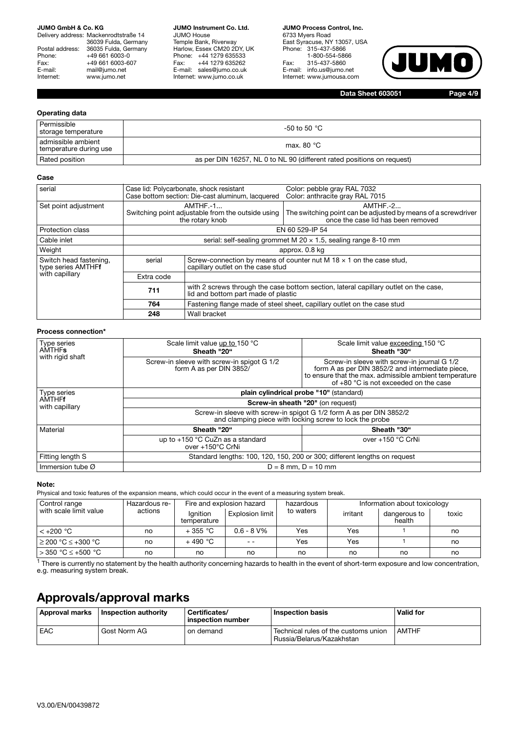Delivery address: Mackenrodtstraße 14 36039 Fulda, Germany Postal address: 36035 Fulda, Germany<br>Phone: +49 661 6003-0 Phone: +49 661 6003-0<br>Fax: +49 661 6003-6 Fax: +49 661 6003-607<br>E-mail: mail@jumo.net mail@jumo.net Internet: www.jumo.net

**JUMO Instrument Co. Ltd.** JUMO House Temple Bank, Riverway Harlow, Essex CM20 2DY, UK Phone: +44 1279 635533<br>Fax: +44 1279 635262 +44 1279 635262 E-mail: sales@jumo.co.uk Internet: www.jumo.co.uk

**JUMO Process Control, Inc.** 6733 Myers Road East Syracuse, NY 13057, USA Phone: 315-437-5866 1-800-554-5866 Fax: 315-437-5860 E-mail: info.us@jumo.net Internet: www.jumousa.com



**Data Sheet 603051**

**Page 4/9**

### **Operating data**

| Permissible<br>storage temperature           | -50 to 50 °C                                                           |
|----------------------------------------------|------------------------------------------------------------------------|
| admissible ambient<br>temperature during use | max, 80 $°C$                                                           |
| Rated position                               | as per DIN 16257, NL 0 to NL 90 (different rated positions on request) |

#### **Case**

| serial                                       |                                                                                    | Case lid: Polycarbonate, shock resistant<br>Case bottom section: Die-cast aluminum, lacquered | Color: pebble gray RAL 7032<br>Color: anthracite gray RAL 7015                                                    |  |  |  |
|----------------------------------------------|------------------------------------------------------------------------------------|-----------------------------------------------------------------------------------------------|-------------------------------------------------------------------------------------------------------------------|--|--|--|
| Set point adjustment                         | $AMTHF.-1$<br>Switching point adjustable from the outside using<br>the rotary knob |                                                                                               | $AMTHF.-2$<br>The switching point can be adjusted by means of a screwdriver<br>once the case lid has been removed |  |  |  |
| <b>Protection class</b>                      | EN 60 529-IP 54                                                                    |                                                                                               |                                                                                                                   |  |  |  |
| Cable inlet                                  |                                                                                    | serial: self-sealing grommet M $20 \times 1.5$ , sealing range 8-10 mm                        |                                                                                                                   |  |  |  |
| Weight                                       | approx. 0.8 kg                                                                     |                                                                                               |                                                                                                                   |  |  |  |
| Switch head fastening,<br>type series AMTHFf | serial                                                                             | capillary outlet on the case stud                                                             | Screw-connection by means of counter nut M 18 $\times$ 1 on the case stud,                                        |  |  |  |
| with capillary                               | Extra code                                                                         |                                                                                               |                                                                                                                   |  |  |  |
|                                              | 711                                                                                | lid and bottom part made of plastic                                                           | with 2 screws through the case bottom section, lateral capillary outlet on the case,                              |  |  |  |
|                                              | 764                                                                                |                                                                                               | Fastening flange made of steel sheet, capillary outlet on the case stud                                           |  |  |  |
|                                              | 248                                                                                | Wall bracket                                                                                  |                                                                                                                   |  |  |  |

#### **Process connection\***

| Type series<br><b>AMTHFs</b><br>with rigid shaft | Scale limit value up to 150 °C<br>Sheath "20"                                                                                  | Scale limit value exceeding 150 °C<br>Sheath "30"                                                                                                                                                    |  |  |  |  |
|--------------------------------------------------|--------------------------------------------------------------------------------------------------------------------------------|------------------------------------------------------------------------------------------------------------------------------------------------------------------------------------------------------|--|--|--|--|
|                                                  | Screw-in sleeve with screw-in spigot G 1/2<br>form A as per DIN 3852/                                                          | Screw-in sleeve with screw-in journal G 1/2<br>form A as per DIN 3852/2 and intermediate piece,<br>to ensure that the max. admissible ambient temperature<br>of $+80$ °C is not exceeded on the case |  |  |  |  |
| Type series                                      | plain cylindrical probe "10" (standard)                                                                                        |                                                                                                                                                                                                      |  |  |  |  |
| AMTHFf<br>with capillary                         | Screw-in sheath "20" (on request)                                                                                              |                                                                                                                                                                                                      |  |  |  |  |
|                                                  | Screw-in sleeve with screw-in spigot G 1/2 form A as per DIN 3852/2<br>and clamping piece with locking screw to lock the probe |                                                                                                                                                                                                      |  |  |  |  |
| Material                                         | Sheath "20"                                                                                                                    | Sheath "30"                                                                                                                                                                                          |  |  |  |  |
|                                                  | up to +150 °C CuZn as a standard<br>over +150°C CrNi                                                                           | over +150 °C CrNi                                                                                                                                                                                    |  |  |  |  |
| Fitting length S                                 |                                                                                                                                | Standard lengths: 100, 120, 150, 200 or 300; different lengths on request                                                                                                                            |  |  |  |  |
| Immersion tube $\varnothing$                     |                                                                                                                                | $D = 8$ mm, $D = 10$ mm                                                                                                                                                                              |  |  |  |  |

#### **Note:**

Physical and toxic features of the expansion means, which could occur in the event of a measuring system break.

| Control range           | Hazardous re- | Fire and explosion hazard |                 | hazardous | Information about toxicology |                        |       |
|-------------------------|---------------|---------------------------|-----------------|-----------|------------------------------|------------------------|-------|
| with scale limit value  | actions       | Ignition<br>temperature   | Explosion limit | to waters | irritant                     | dangerous to<br>health | toxic |
| $< +200 °C$             | no            | $+355$ °C                 | $0.6 - 8$ V%    | Yes       | Yes                          |                        | no    |
| $\geq$ 200 °C ≤ +300 °C | no            | $+490$ °C                 | $ -$            | Yes       | Yes                          |                        | no    |
| > 350 °C ≤ +500 °C      | no            | no                        | no              | no        | no                           | no                     | no    |

 $1$  There is currently no statement by the health authority concerning hazards to health in the event of short-term exposure and low concentration, e.g. measuring system break.

## **Approvals/approval marks**

| Approval marks | I Inspection authority | Certificates/<br>inspection number | <b>Inspection basis</b>                                           | <b>Valid for</b> |
|----------------|------------------------|------------------------------------|-------------------------------------------------------------------|------------------|
| EAC            | Gost Norm AG           | on demand                          | Technical rules of the customs union<br>Russia/Belarus/Kazakhstan | <b>AMTHF</b>     |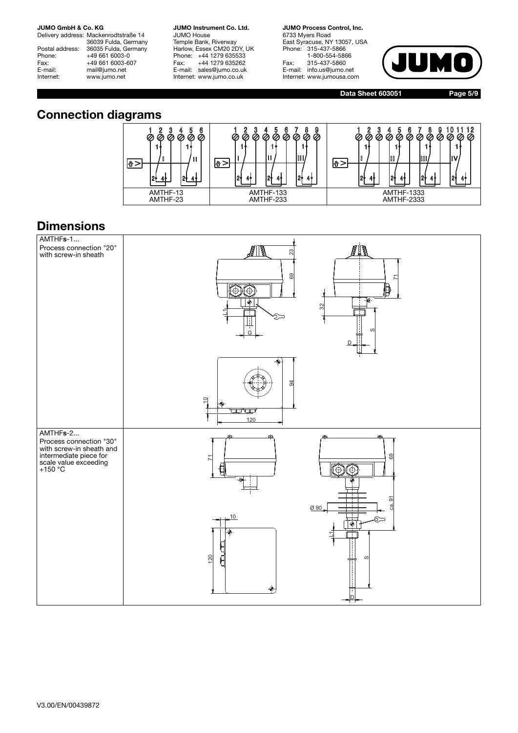Delivery address: Mackenrodtstraße 14 36039 Fulda, Germany Postal address: 36035 Fulda, Germany<br>Phone: +49 661 6003-0 Phone: +49 661 6003-0<br>Fax: +49 661 6003-6 Fax: +49 661 6003-607<br>E-mail: mail@jumo.net mail@jumo.net Internet: www.jumo.net

**JUMO Instrument Co. Ltd.** JUMO House Temple Bank, Riverway Harlow, Essex CM20 2DY, UK Phone: +44 1279 635533<br>Fax: +44 1279 635262 +44 1279 635262 E-mail: sales@jumo.co.uk Internet: www.jumo.co.uk

**JUMO Process Control, Inc.** 6733 Myers Road East Syracuse, NY 13057, USA Phone: 315-437-5866 1-800-554-5866 Fax: 315-437-5860 E-mail: info.us@jumo.net Internet: www.jumousa.com



**Data Sheet 603051**

**Page 5/9**

## **Connection diagrams**



## **Dimensions**

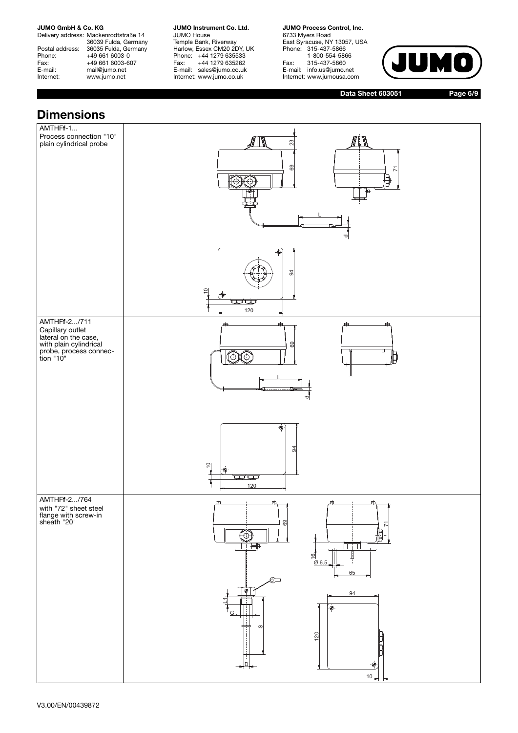Delivery address: Mackenrodtstraße 14 36039 Fulda, Germany Postal address: 36035 Fulda, Germany Phone: +49 661 6003-0<br>Fax: +49 661 6003-6 Fax: +49 661 6003-607<br>E-mail: mail@jumo.net mail@jumo.net Internet: www.jumo.net

**JUMO Instrument Co. Ltd.** JUMO House Temple Bank, Riverway Harlow, Essex CM20 2DY, UK Phone: +44 1279 635533<br>Fax: +44 1279 635262 +44 1279 635262 E-mail: sales@jumo.co.uk Internet: www.jumo.co.uk

**JUMO Process Control, Inc.** 6733 Myers Road East Syracuse, NY 13057, USA Phone: 315-437-5866 1-800-554-5866 Fax: 315-437-5860 E-mail: info.us@jumo.net Internet: www.jumousa.com



**Data Sheet 603051**

**Page 6/9**

## **Dimensions**

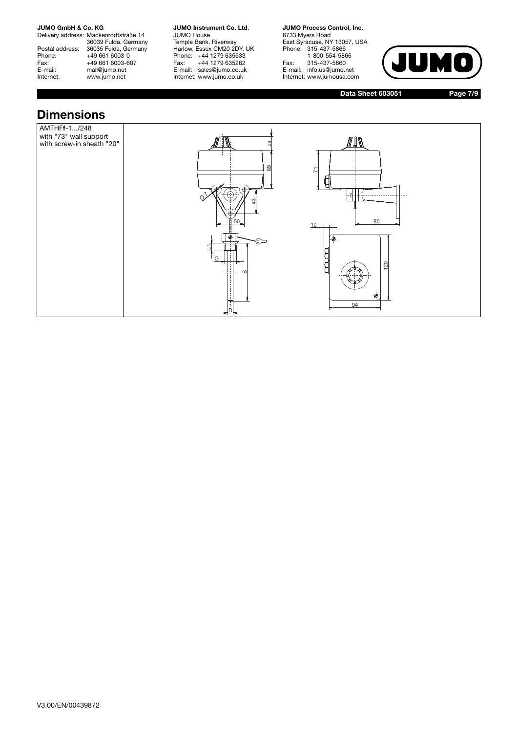Delivery address: Mackenrodtstraße 14 36039 Fulda, Germany Postal address: 36035 Fulda, Germany Phone: +49 661 6003-0<br>Fax: +49 661 6003-6 Fax: +49 661 6003-607<br>E-mail: mail@jumo.net E-mail: mail@jumo.net<br>
Internet: www.iumo.net www.jumo.net

**JUMO Instrument Co. Ltd.** JUMO House Temple Bank, Riverway Harlow, Essex CM20 2DY, UK Phone: +44 1279 635533<br>Fax: +44 1279 635262 +44 1279 635262 E-mail: sales@jumo.co.uk Internet: www.jumo.co.uk

**JUMO Process Control, Inc.** 6733 Myers Road East Syracuse, NY 13057, USA Phone: 315-437-5866 1-800-554-5866 Fax: 315-437-5860 E-mail: info.us@jumo.net Internet: www.jumousa.com



**Data Sheet 603051**

**Page 7/9**

## **Dimensions**

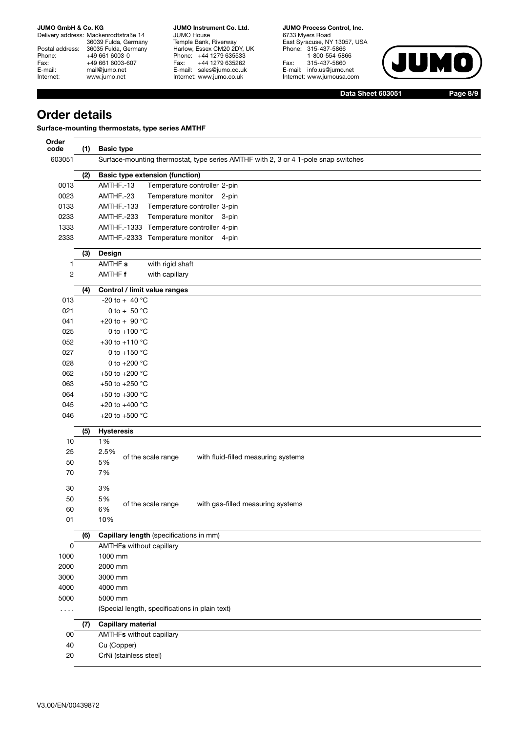Delivery address: Mackenrodtstraße 14 36039 Fulda, Germany Postal address: 36035 Fulda, Germany Phone: +49 661 6003-0<br>Fax: +49 661 6003-60 Fax: +49 661 6003-607<br>E-mail: mail@jumo.net E-mail: mail@jumo.net<br>
Internet: www.iumo.net www.jumo.net

**JUMO Instrument Co. Ltd.** JUMO House Temple Bank, Riverway Harlow, Essex CM20 2DY, UK Phone: +44 1279 635533 Fax: +44 1279 635262 E-mail: sales@jumo.co.uk Internet: www.jumo.co.uk

**JUMO Process Control, Inc.** 6733 Myers Road East Syracuse, NY 13057, USA Phone: 315-437-5866 1-800-554-5866 Fax: 315-437-5860 E-mail: info.us@jumo.net Internet: www.jumousa.com



**Data Sheet 603051**

**Page 8/9**

## **Order details**

**Surface-mounting thermostats, type series AMTHF** 

| Order<br>code  | (1) | <b>Basic type</b>                                                                  |
|----------------|-----|------------------------------------------------------------------------------------|
| 603051         |     | Surface-mounting thermostat, type series AMTHF with 2, 3 or 4 1-pole snap switches |
|                | (2) | <b>Basic type extension (function)</b>                                             |
| 0013           |     | AMTHF.-13<br>Temperature controller 2-pin                                          |
| 0023           |     | AMTHF.-23<br>Temperature monitor 2-pin                                             |
| 0133           |     | AMTHF.-133<br>Temperature controller 3-pin                                         |
| 0233           |     | AMTHF.-233<br>Temperature monitor 3-pin                                            |
| 1333           |     | AMTHF.-1333 Temperature controller 4-pin                                           |
| 2333           |     | AMTHF.-2333 Temperature monitor<br>4-pin                                           |
|                | (3) | Design                                                                             |
| $\mathbf{1}$   |     | AMTHF <sub>s</sub><br>with rigid shaft                                             |
| $\overline{c}$ |     | AMTHF f<br>with capillary                                                          |
|                | (4) | Control / limit value ranges                                                       |
| 013            |     | -20 to + 40 $^{\circ}$ C                                                           |
| 021            |     | 0 to + 50 $^{\circ}$ C                                                             |
| 041            |     | +20 to + 90 $^{\circ}$ C                                                           |
| 025            |     | 0 to +100 $^{\circ}$ C                                                             |
| 052            |     | +30 to +110 $^{\circ}$ C                                                           |
| 027            |     | 0 to +150 $^{\circ}$ C                                                             |
| 028            |     | 0 to +200 °C                                                                       |
| 062            |     | +50 to +200 °C                                                                     |
| 063            |     | +50 to +250 °C                                                                     |
| 064            |     | +50 to +300 °C                                                                     |
| 045            |     | +20 to +400 $^{\circ}$ C                                                           |
| 046            |     | +20 to +500 $^{\circ}$ C                                                           |
|                | (5) | <b>Hysteresis</b>                                                                  |
| 10             |     | 1%                                                                                 |
| 25             |     | 2.5%<br>of the scale range<br>with fluid-filled measuring systems                  |
| 50             |     | 5%                                                                                 |
| 70             |     | 7%                                                                                 |
| 30             |     | 3%                                                                                 |
| 50             |     | 5%                                                                                 |
| 60             |     | of the scale range<br>with gas-filled measuring systems<br>6%                      |
| 01             |     | 10%                                                                                |
|                | (6) | Capillary length (specifications in mm)                                            |
| 0              |     | <b>AMTHFs without capillary</b>                                                    |
| 1000           |     | 1000 mm                                                                            |
| 2000           |     | 2000 mm                                                                            |
| 3000           |     | 3000 mm                                                                            |
| 4000           |     | 4000 mm                                                                            |
| 5000           |     | 5000 mm                                                                            |
| .              |     | (Special length, specifications in plain text)                                     |
|                | (7) | <b>Capillary material</b>                                                          |
| 00             |     | <b>AMTHFs without capillary</b>                                                    |
| 40             |     | Cu (Copper)                                                                        |
| 20             |     | CrNi (stainless steel)                                                             |